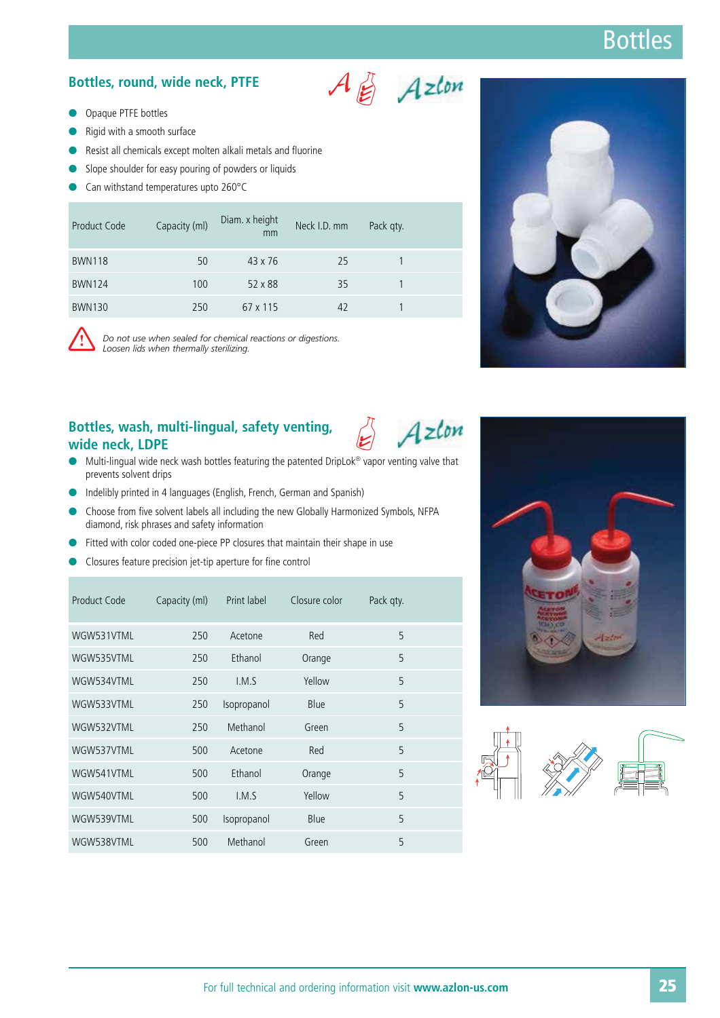### Bottles, round, wide neck, PTFE<br>
Azlon

- **O** Opaque PTFE bottles
- $\bullet$ Rigid with a smooth surface
- -Resist all chemicals except molten alkali metals and fluorine
- -Slope shoulder for easy pouring of powders or liquids
- -Can withstand temperatures upto 260°C

| Product Code  | Capacity (ml) | Diam. x height<br>mm | Neck I.D. mm | Pack qty. |  |
|---------------|---------------|----------------------|--------------|-----------|--|
| <b>BWN118</b> | 50            | $43 \times 76$       | 25           |           |  |
| <b>BWN124</b> | 100           | 52 x 88              | 35           |           |  |
| <b>BWN130</b> | 250           | 67 x 115             | 42           |           |  |



Do not use when sealed for chemical reactions or digestions. *Loosen lids when thermally sterilizing.*

#### 2 **Bottles, wash, multi-lingual, safety venting, wide neck, LDPE**

 $\bullet$  Multi-lingual wide neck wash bottles featuring the patented DripLok® vapor venting valve that prevents solvent drips

Azlon

- Indelibly printed in 4 languages (English, French, German and Spanish)
- $\bullet$  Choose from five solvent labels all including the new Globally Harmonized Symbols, NFPA diamond, risk phrases and safety information
- $\bullet$ Fitted with color coded one-piece PP closures that maintain their shape in use
- **•** Closures feature precision jet-tip aperture for fine control

| Product Code | Capacity (ml) | Print label | Closure color | Pack qty. |  |
|--------------|---------------|-------------|---------------|-----------|--|
| WGW531VTML   | 250           | Acetone     | Red           | 5         |  |
| WGW535VTML   | 250           | Ethanol     | Orange        | 5         |  |
| WGW534VTML   | 250           | I.M.S       | Yellow        | 5         |  |
| WGW533VTML   | 250           | Isopropanol | Blue          | 5         |  |
| WGW532VTML   | 250           | Methanol    | Green         | 5         |  |
| WGW537VTML   | 500           | Acetone     | Red           | 5         |  |
| WGW541VTML   | 500           | Ethanol     | Orange        | 5         |  |
| WGW540VTML   | 500           | I.M.S       | Yellow        | 5         |  |
| WGW539VTML   | 500           | Isopropanol | Blue          | 5         |  |
| WGW538VTML   | 500           | Methanol    | Green         | 5         |  |





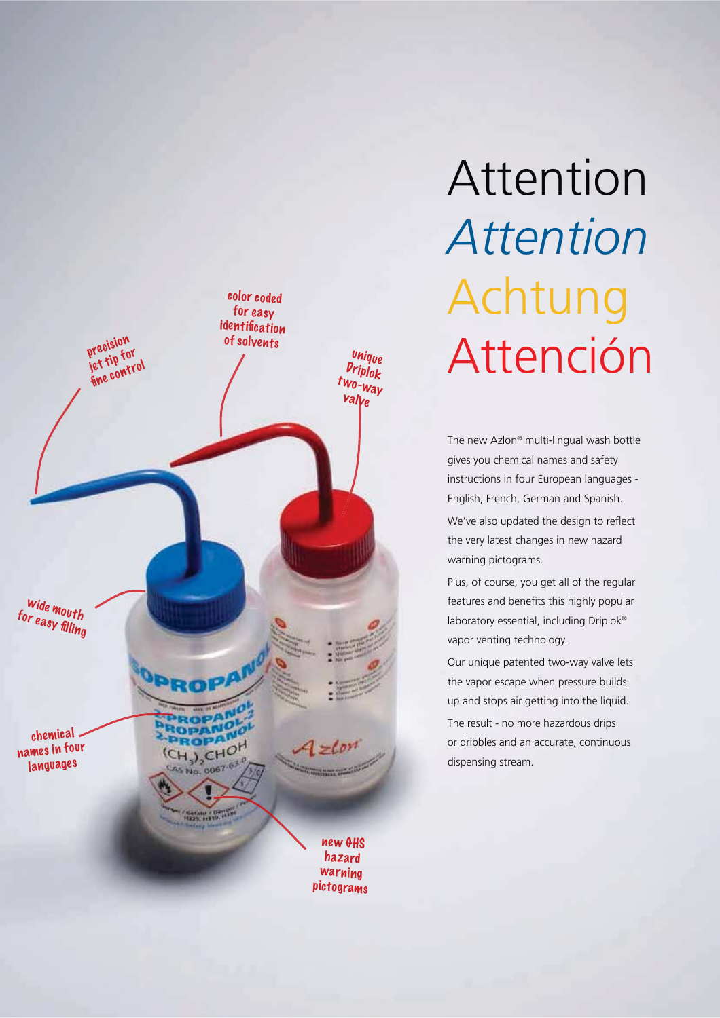

# Attention *Attention* Achtung Attención

The new Azlon® multi-lingual wash bottle gives you chemical names and safety instructions in four European languages - English, French, German and Spanish.

We've also updated the design to reflect the very latest changes in new hazard warning pictograms.

Plus, of course, you get all of the regular features and benefits this highly popular laboratory essential, including Driplok® vapor venting technology.

Our unique patented two-way valve lets the vapor escape when pressure builds up and stops air getting into the liquid. The result - no more hazardous drips or dribbles and an accurate, continuous dispensing stream.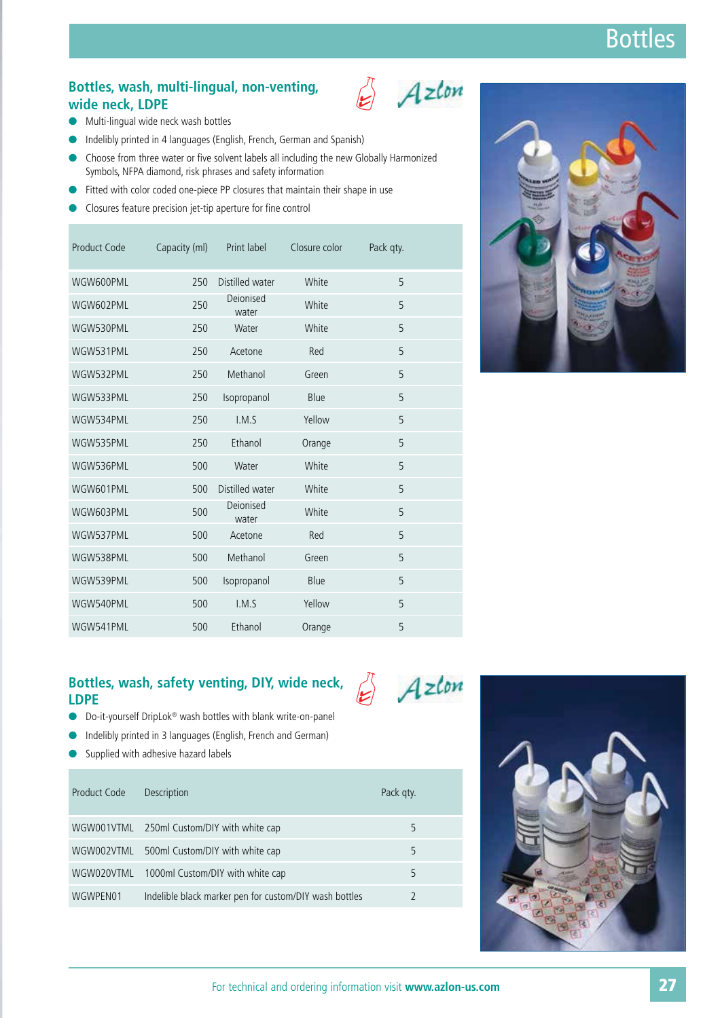#### Bottles, wash, multi-lingual, non-venting,<br>wide neck LDPF **wide neck, LDPE**



- **•** Multi-lingual wide neck wash bottles
- $\bullet$ Indelibly printed in 4 languages (English, French, German and Spanish)
- $\bullet$  Choose from three water or five solvent labels all including the new Globally Harmonized Symbols, NFPA diamond, risk phrases and safety information
- $\bullet$ Fitted with color coded one-piece PP closures that maintain their shape in use
- $\bullet$ Closures feature precision jet-tip aperture for fine control

| Product Code | Capacity (ml) | Print label        | Closure color | Pack qty. |  |
|--------------|---------------|--------------------|---------------|-----------|--|
| WGW600PML    | 250           | Distilled water    | White         | 5         |  |
| WGW602PML    | 250           | Deionised<br>water | White         | 5         |  |
| WGW530PML    | 250           | Water              | White         | 5         |  |
| WGW531PML    | 250           | Acetone            | Red           | 5         |  |
| WGW532PML    | 250           | Methanol           | Green         | 5         |  |
| WGW533PML    | 250           | Isopropanol        | Blue          | 5         |  |
| WGW534PML    | 250           | I.M.S              | Yellow        | 5         |  |
| WGW535PML    | 250           | Ethanol            | Orange        | 5         |  |
| WGW536PML    | 500           | Water              | White         | 5         |  |
| WGW601PML    | 500           | Distilled water    | White         | 5         |  |
| WGW603PML    | 500           | Deionised<br>water | White         | 5         |  |
| WGW537PML    | 500           | Acetone            | Red           | 5         |  |
| WGW538PML    | 500           | Methanol           | Green         | 5         |  |
| WGW539PML    | 500           | Isopropanol        | Blue          | 5         |  |
| WGW540PML    | 500           | I.M.S              | Yellow        | 5         |  |
| WGW541PML    | 500           | Ethanol            | Orange        | 5         |  |

#### Bottles, wash, safety venting, DIY, wide neck, Azlon **LDPE**

- $\bullet$ Do-it-yourself DripLok® wash bottles with blank write-on-panel
- $\bullet$ Indelibly printed in 3 languages (English, French and German)
- $\bullet$ Supplied with adhesive hazard labels

| Product Code | Description                                            | Pack gty. |  |
|--------------|--------------------------------------------------------|-----------|--|
|              | WGW001VTML 250ml Custom/DIY with white cap             | 5         |  |
|              | WGW002VTML 500ml Custom/DIY with white cap             | 5         |  |
| WGW020VTML   | 1000ml Custom/DIY with white cap                       | 5         |  |
| WGWPFN01     | Indelible black marker pen for custom/DIY wash bottles |           |  |

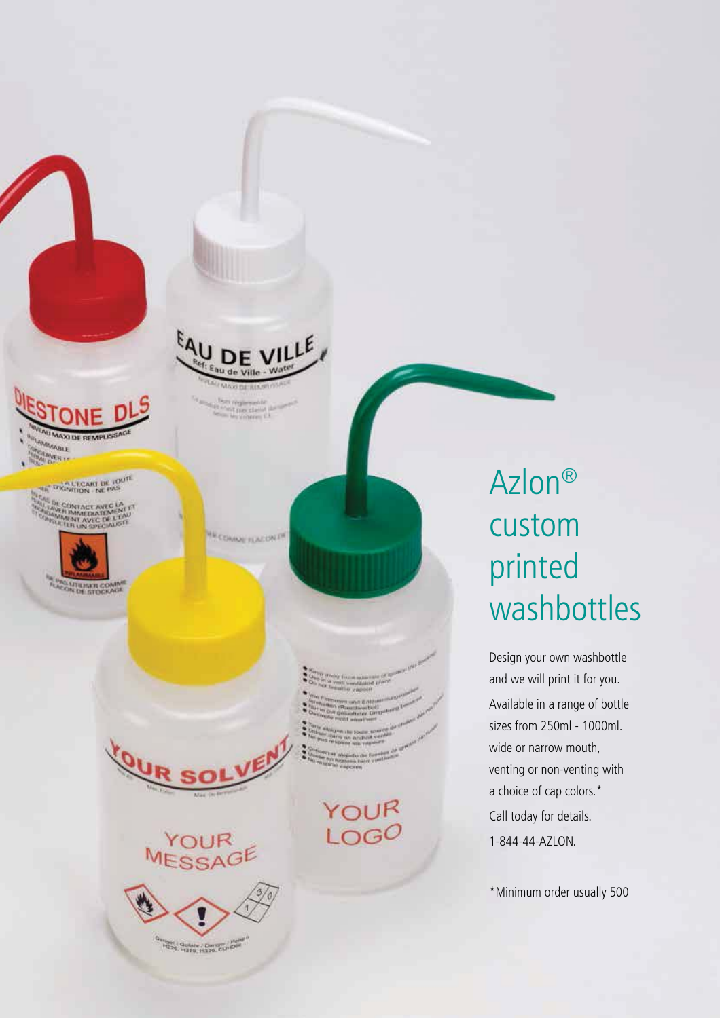

A L'ECART DE TOUTE



 $U^{\beta}$ 

YOUR MESSAGE

HERE Getate / Derre Curior

- -
- 
- 

YOUR LOGO

## Azlon® custom printed washbottles

Design your own washbottle and we will print it for you. Available in a range of bottle sizes from 250ml - 1000ml. wide or narrow mouth, venting or non-venting with a choice of cap colors.\* Call today for details. 1-844-44-AZLON.

\*Minimum order usually 500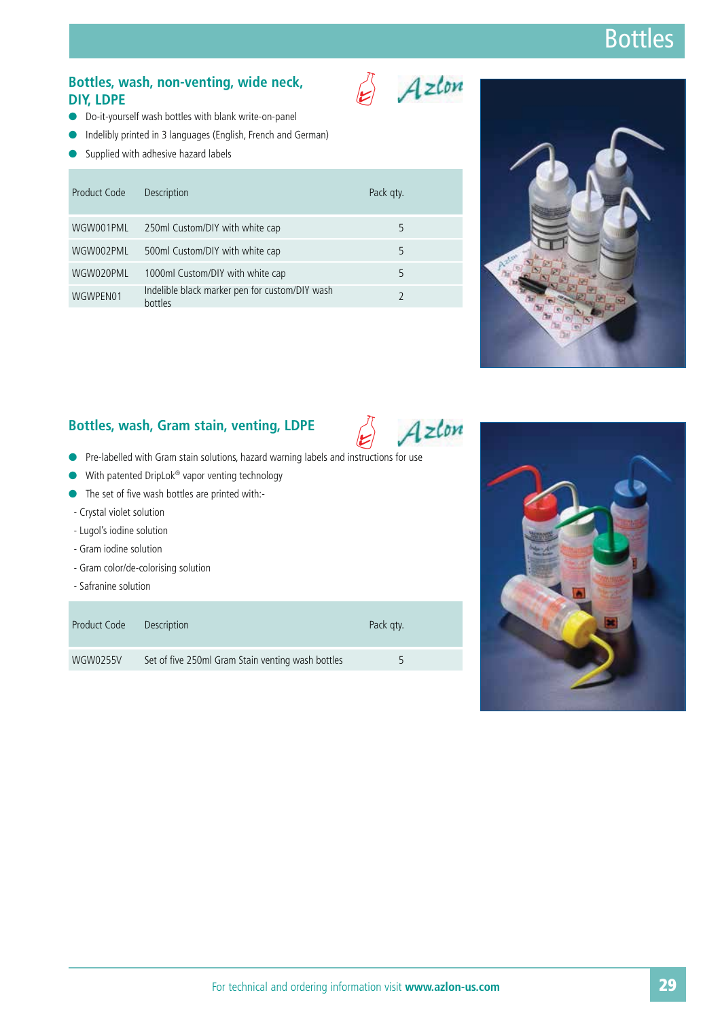### Bottles, wash, non-venting, wide neck,<br>DIY. LDPE **DIY, LDPE**

- $\bullet$ Do-it-yourself wash bottles with blank write-on-panel
- $\bullet$ Indelibly printed in 3 languages (English, French and German)
- $\bullet$ Supplied with adhesive hazard labels

| Product Code | Description                                               | Pack gty. |  |
|--------------|-----------------------------------------------------------|-----------|--|
| WGW001PML    | 250ml Custom/DIY with white cap                           | 5         |  |
| WGW002PML    | 500ml Custom/DIY with white cap                           | 5         |  |
| WGW020PML    | 1000ml Custom/DIY with white cap                          | 5         |  |
| WGWPEN01     | Indelible black marker pen for custom/DIY wash<br>hottles |           |  |



### 2 **Bottles, wash, Gram stain, venting, LDPE**

- **•** Pre-labelled with Gram stain solutions, hazard warning labels and instructions for use
- $\bullet$ With patented DripLok® vapor venting technology
- The set of five wash bottles are printed with:-
- Crystal violet solution
- Lugol's iodine solution
- Gram iodine solution
- Gram color/de-colorising solution
- Safranine solution

| Product Code | <b>Description</b>                                | Pack gty. |  |
|--------------|---------------------------------------------------|-----------|--|
| WGW0255V     | Set of five 250ml Gram Stain venting wash bottles | 5         |  |



Azlon